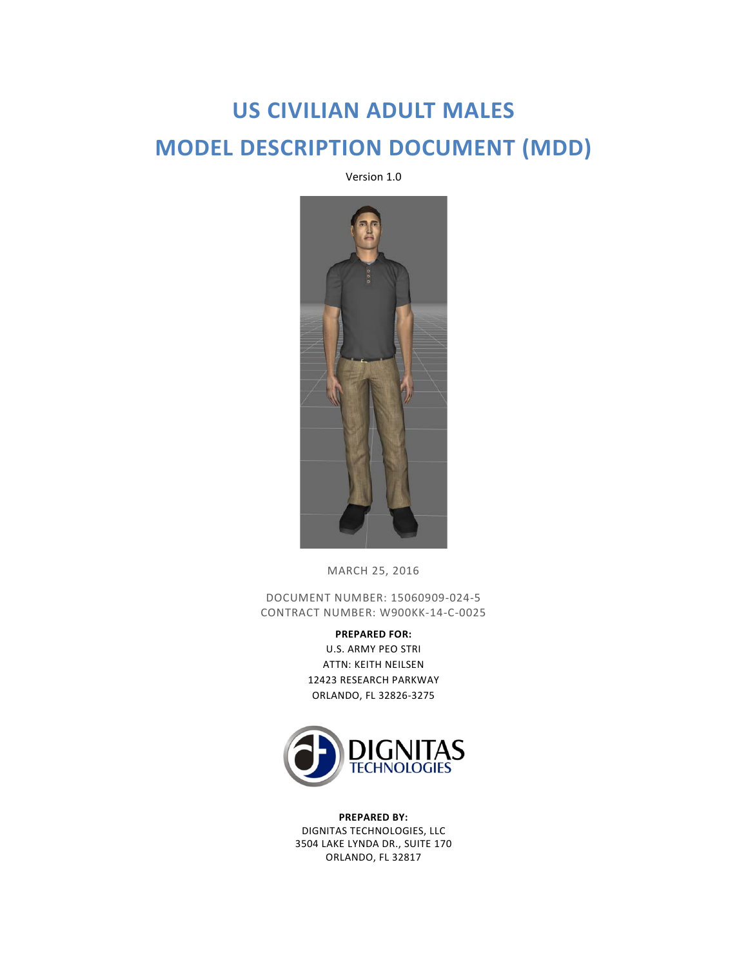# **US CIVILIAN ADULT MALES MODEL DESCRIPTION DOCUMENT (MDD)**

Version 1.0



MARCH 25, 2016

DOCUMENT NUMBER: 15060909-024-5 CONTRACT NUMBER: W900KK-14-C-0025

> **PREPARED FOR:** U.S. ARMY PEO STRI ATTN: KEITH NEILSEN 12423 RESEARCH PARKWAY ORLANDO, FL 32826-3275



**PREPARED BY:** DIGNITAS TECHNOLOGIES, LLC 3504 LAKE LYNDA DR., SUITE 170 ORLANDO, FL 32817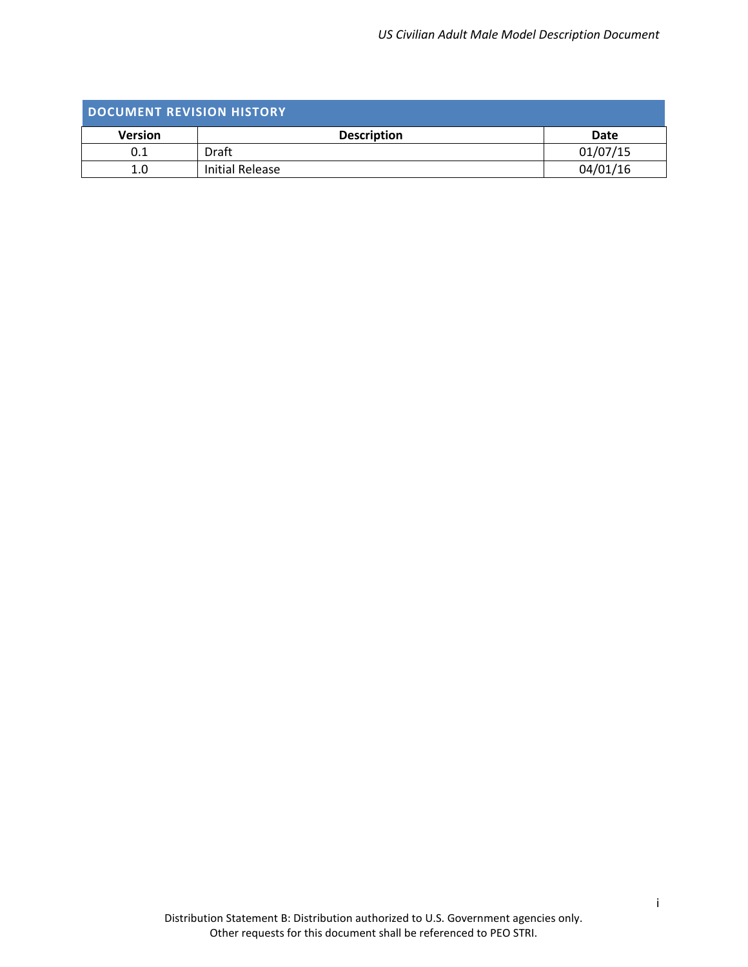<span id="page-1-0"></span>

| DOCUMENT REVISION HISTORY |                    |          |  |
|---------------------------|--------------------|----------|--|
| <b>Version</b>            | <b>Description</b> | Date     |  |
| 0.1                       | Draft              | 01/07/15 |  |
| 1.0                       | Initial Release    | 04/01/16 |  |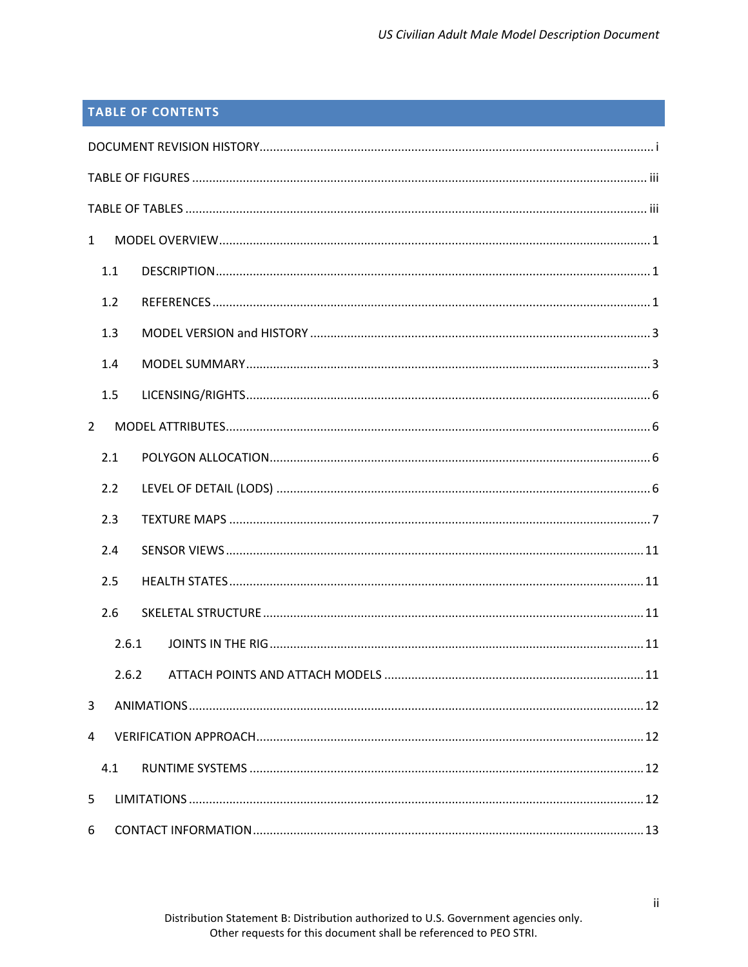## **TABLE OF CONTENTS**

| $\mathbf{1}$   |       |  |
|----------------|-------|--|
| 1.1            |       |  |
| 1.2            |       |  |
| 1.3            |       |  |
| 1.4            |       |  |
| 1.5            |       |  |
| $\overline{2}$ |       |  |
| 2.1            |       |  |
| 2.2            |       |  |
| 2.3            |       |  |
| 2.4            |       |  |
| 2.5            |       |  |
| 2.6            |       |  |
|                | 2.6.1 |  |
|                | 2.6.2 |  |
| 3              |       |  |
| 4              |       |  |
| 4.1            |       |  |
| 5              |       |  |
| 6              |       |  |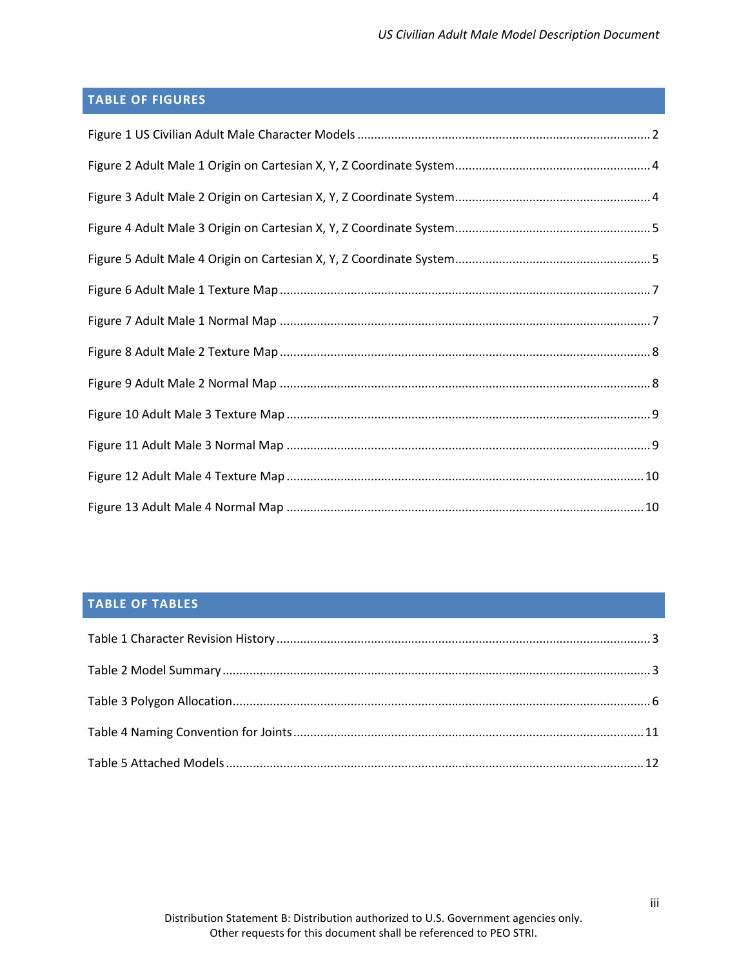# <span id="page-3-0"></span>**TABLE OF FIGURES**

## <span id="page-3-1"></span>**TABLE OF TABLES**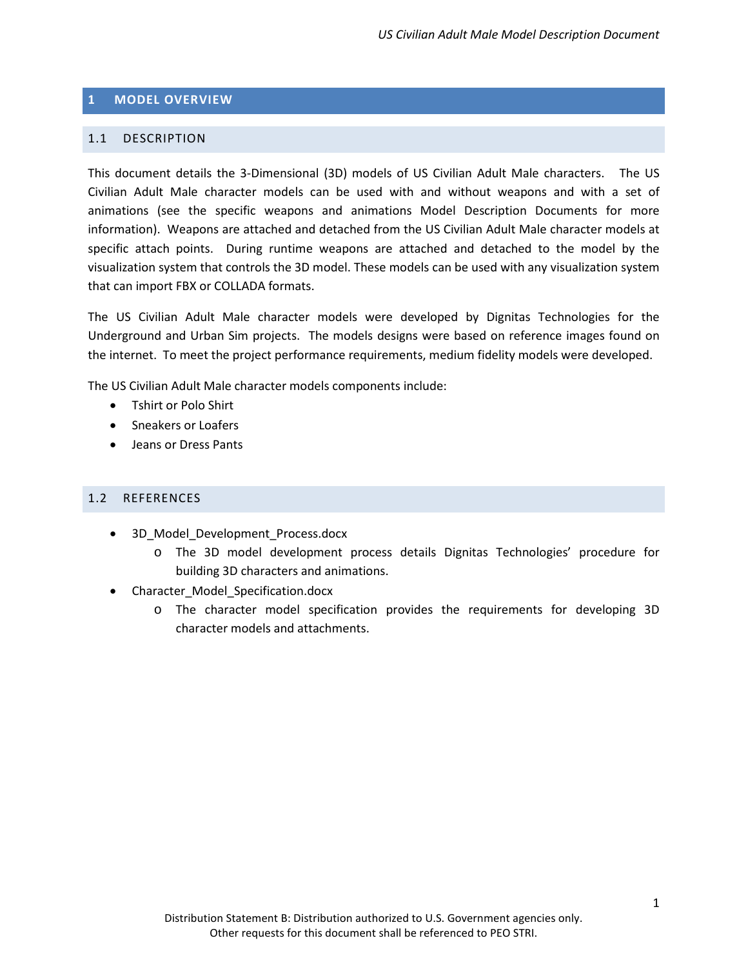#### <span id="page-4-0"></span>**1 MODEL OVERVIEW**

#### <span id="page-4-1"></span>1.1 DESCRIPTION

This document details the 3-Dimensional (3D) models of US Civilian Adult Male characters. The US Civilian Adult Male character models can be used with and without weapons and with a set of animations (see the specific weapons and animations Model Description Documents for more information). Weapons are attached and detached from the US Civilian Adult Male character models at specific attach points. During runtime weapons are attached and detached to the model by the visualization system that controls the 3D model. These models can be used with any visualization system that can import FBX or COLLADA formats.

The US Civilian Adult Male character models were developed by Dignitas Technologies for the Underground and Urban Sim projects. The models designs were based on reference images found on the internet. To meet the project performance requirements, medium fidelity models were developed.

The US Civilian Adult Male character models components include:

- Tshirt or Polo Shirt
- Sneakers or Loafers
- Jeans or Dress Pants

#### <span id="page-4-2"></span>1.2 REFERENCES

- 3D Model Development Process.docx
	- o The 3D model development process details Dignitas Technologies' procedure for building 3D characters and animations.
- Character\_Model\_Specification.docx
	- o The character model specification provides the requirements for developing 3D character models and attachments.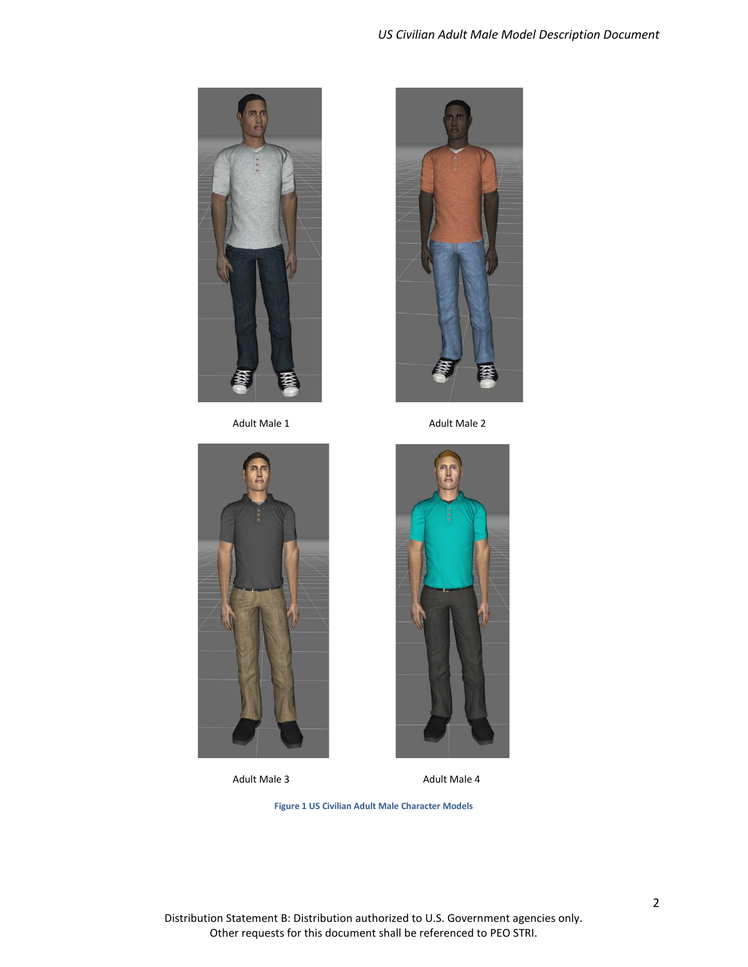



Adult Male 1 Adult Male 2





Adult Male 3 Adult Male 4

**Figure 1 US Civilian Adult Male Character Models**

<span id="page-5-0"></span>Distribution Statement B: Distribution authorized to U.S. Government agencies only. Other requests for this document shall be referenced to PEO STRI.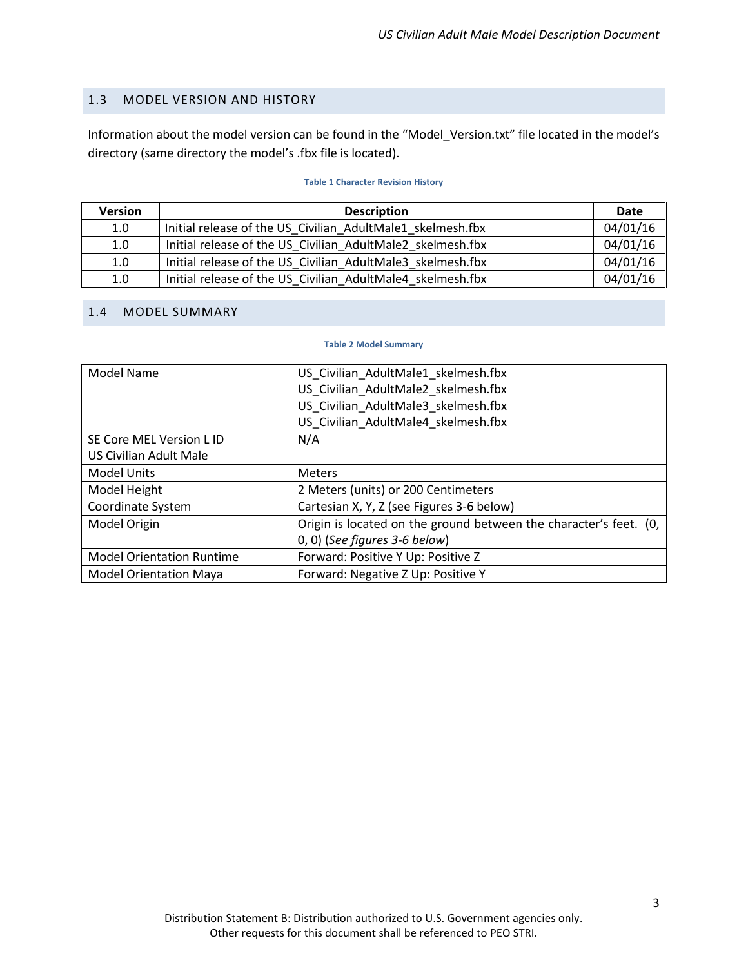#### <span id="page-6-0"></span>1.3 MODEL VERSION AND HISTORY

Information about the model version can be found in the "Model\_Version.txt" file located in the model's directory (same directory the model's .fbx file is located).

#### **Table 1 Character Revision History**

<span id="page-6-2"></span>

| <b>Version</b> | <b>Description</b>                                         | <b>Date</b> |
|----------------|------------------------------------------------------------|-------------|
| 1.0            | Initial release of the US Civilian AdultMale1 skelmesh.fbx | 04/01/16    |
| 1.0            | Initial release of the US Civilian AdultMale2 skelmesh.fbx | 04/01/16    |
| 1.0            | Initial release of the US Civilian AdultMale3 skelmesh.fbx | 04/01/16    |
| 1.0            | Initial release of the US Civilian AdultMale4 skelmesh.fbx | 04/01/16    |

#### <span id="page-6-3"></span><span id="page-6-1"></span>1.4 MODEL SUMMARY

#### **Table 2 Model Summary**

| <b>Model Name</b>                | US_Civilian_AdultMale1_skelmesh.fbx                               |
|----------------------------------|-------------------------------------------------------------------|
|                                  | US Civilian AdultMale2 skelmesh.fbx                               |
|                                  | US Civilian AdultMale3 skelmesh.fbx                               |
|                                  | US_Civilian_AdultMale4_skelmesh.fbx                               |
| SE Core MEL Version L ID         | N/A                                                               |
| US Civilian Adult Male           |                                                                   |
| <b>Model Units</b>               | <b>Meters</b>                                                     |
| Model Height                     | 2 Meters (units) or 200 Centimeters                               |
| Coordinate System                | Cartesian X, Y, Z (see Figures 3-6 below)                         |
| Model Origin                     | Origin is located on the ground between the character's feet. (0, |
|                                  | $(0, 0)$ (See figures 3-6 below)                                  |
| <b>Model Orientation Runtime</b> | Forward: Positive Y Up: Positive Z                                |
| <b>Model Orientation Maya</b>    | Forward: Negative Z Up: Positive Y                                |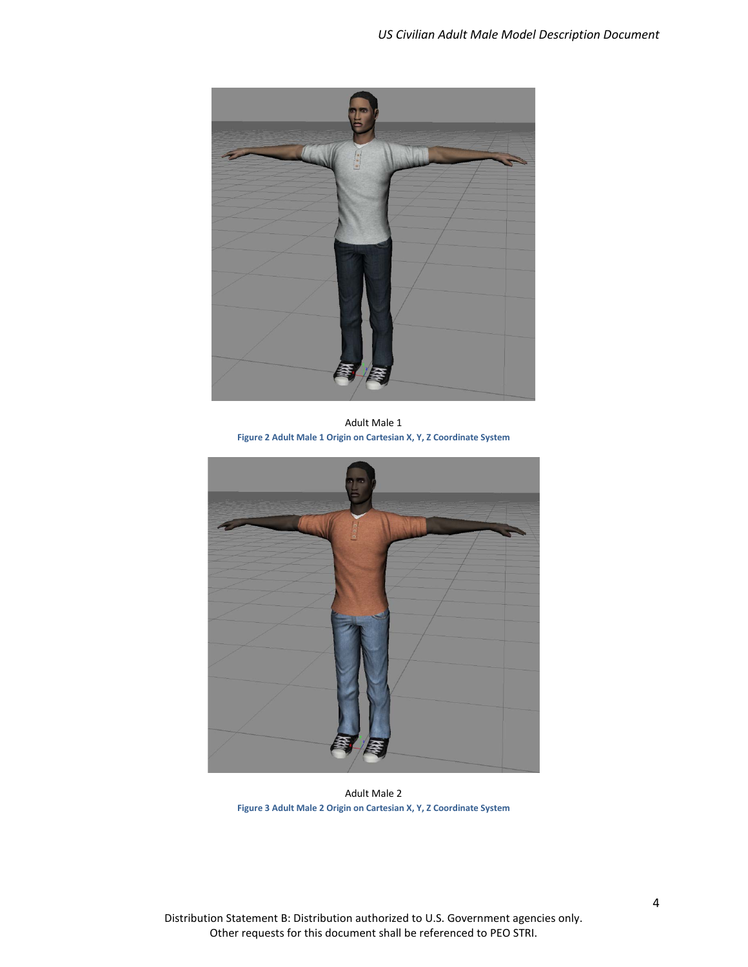

Adult Male 1 **Figure 2 Adult Male 1 Origin on Cartesian X, Y, Z Coordinate System**

<span id="page-7-0"></span>

Adult Male 2 **Figure 3 Adult Male 2 Origin on Cartesian X, Y, Z Coordinate System**

<span id="page-7-1"></span>Distribution Statement B: Distribution authorized to U.S. Government agencies only. Other requests for this document shall be referenced to PEO STRI.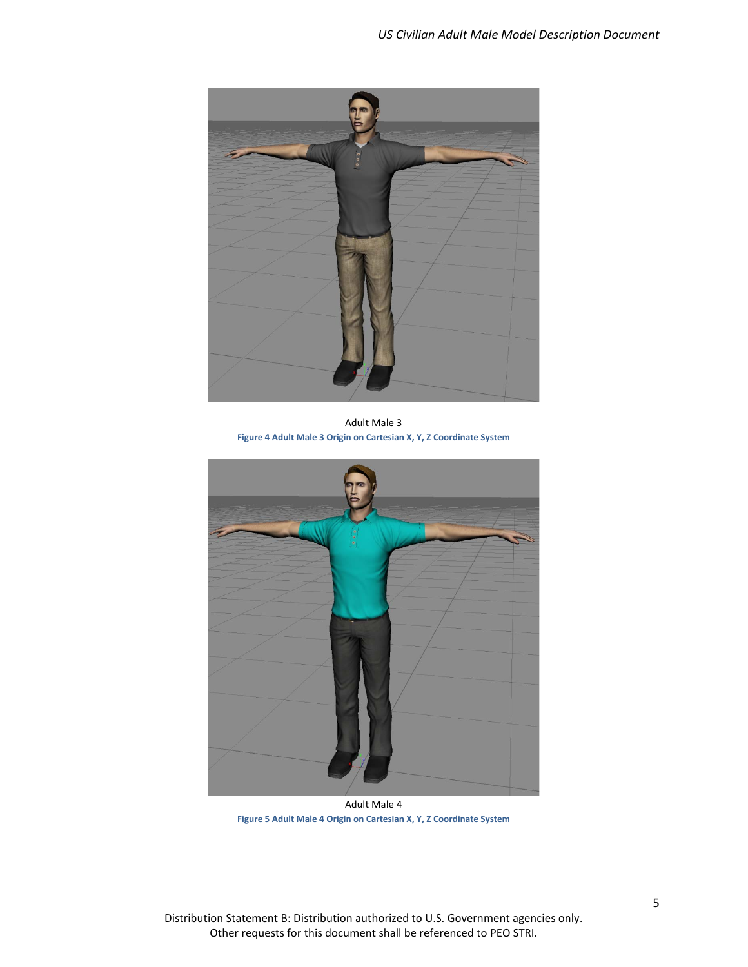

Adult Male 3 **Figure 4 Adult Male 3 Origin on Cartesian X, Y, Z Coordinate System**

<span id="page-8-0"></span>

Adult Male 4 **Figure 5 Adult Male 4 Origin on Cartesian X, Y, Z Coordinate System**

<span id="page-8-1"></span>Distribution Statement B: Distribution authorized to U.S. Government agencies only. Other requests for this document shall be referenced to PEO STRI.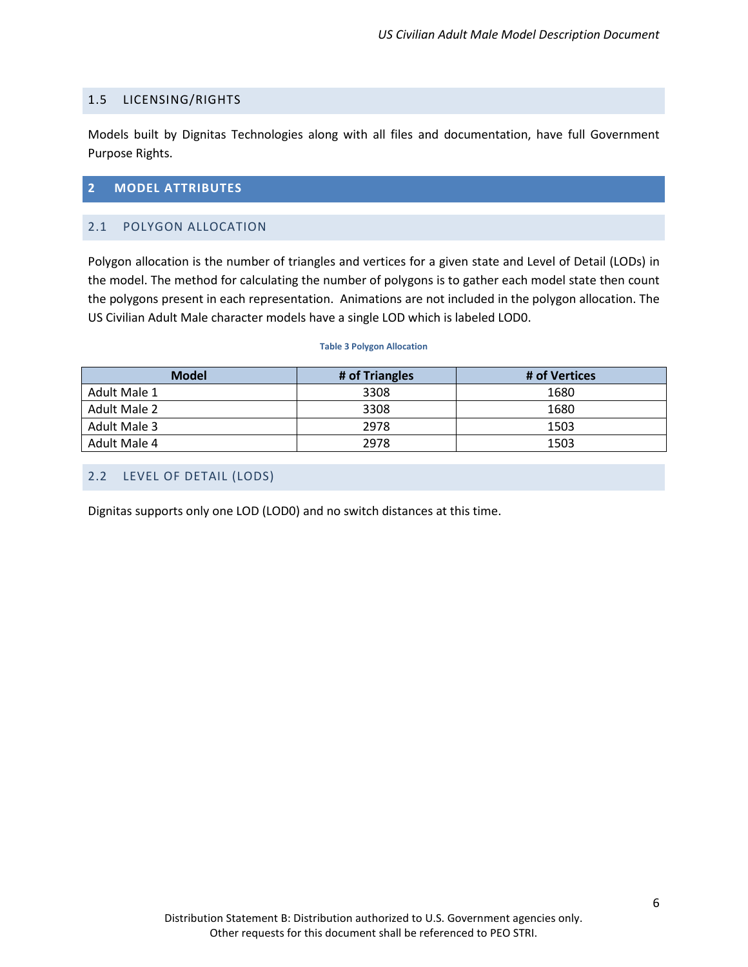#### <span id="page-9-0"></span>1.5 LICENSING/RIGHTS

Models built by Dignitas Technologies along with all files and documentation, have full Government Purpose Rights.

#### <span id="page-9-1"></span>**2 MODEL ATTRIBUTES**

#### <span id="page-9-2"></span>2.1 POLYGON ALLOCATION

Polygon allocation is the number of triangles and vertices for a given state and Level of Detail (LODs) in the model. The method for calculating the number of polygons is to gather each model state then count the polygons present in each representation. Animations are not included in the polygon allocation. The US Civilian Adult Male character models have a single LOD which is labeled LOD0.

#### **Table 3 Polygon Allocation**

<span id="page-9-4"></span>

| <b>Model</b> | # of Triangles | # of Vertices |
|--------------|----------------|---------------|
| Adult Male 1 | 3308           | 1680          |
| Adult Male 2 | 3308           | 1680          |
| Adult Male 3 | 2978           | 1503          |
| Adult Male 4 | 2978           | 1503          |

#### <span id="page-9-3"></span>2.2 LEVEL OF DETAIL (LODS)

Dignitas supports only one LOD (LOD0) and no switch distances at this time.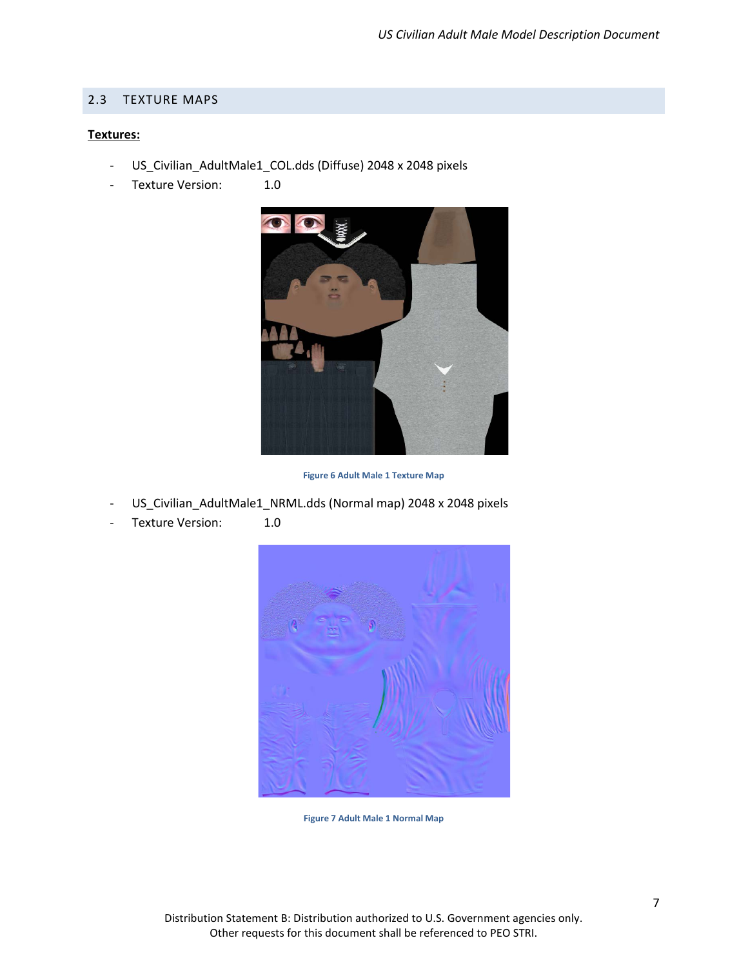#### <span id="page-10-0"></span>2.3 TEXTURE MAPS

#### **Textures:**

- US\_Civilian\_AdultMale1\_COL.dds (Diffuse) 2048 x 2048 pixels
- Texture Version: 1.0



**Figure 6 Adult Male 1 Texture Map**

- <span id="page-10-1"></span>US\_Civilian\_AdultMale1\_NRML.dds (Normal map) 2048 x 2048 pixels
- <span id="page-10-2"></span>Texture Version: 1.0



**Figure 7 Adult Male 1 Normal Map**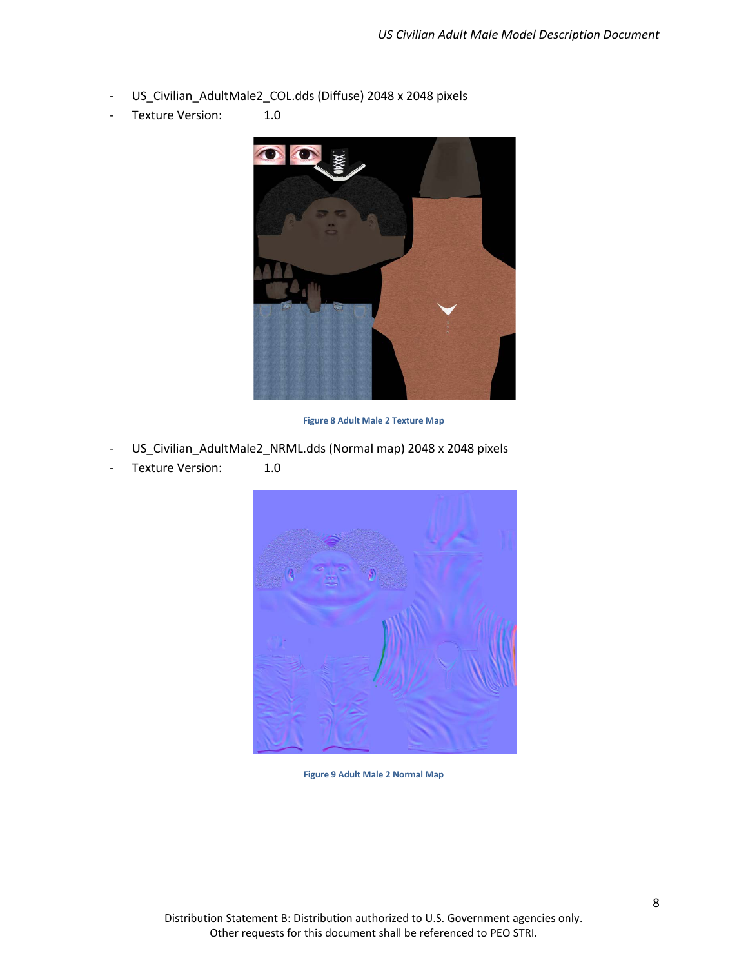- US\_Civilian\_AdultMale2\_COL.dds (Diffuse) 2048 x 2048 pixels
- Texture Version: 1.0



**Figure 8 Adult Male 2 Texture Map**

- <span id="page-11-0"></span>US\_Civilian\_AdultMale2\_NRML.dds (Normal map) 2048 x 2048 pixels
- <span id="page-11-1"></span>Texture Version: 1.0



**Figure 9 Adult Male 2 Normal Map**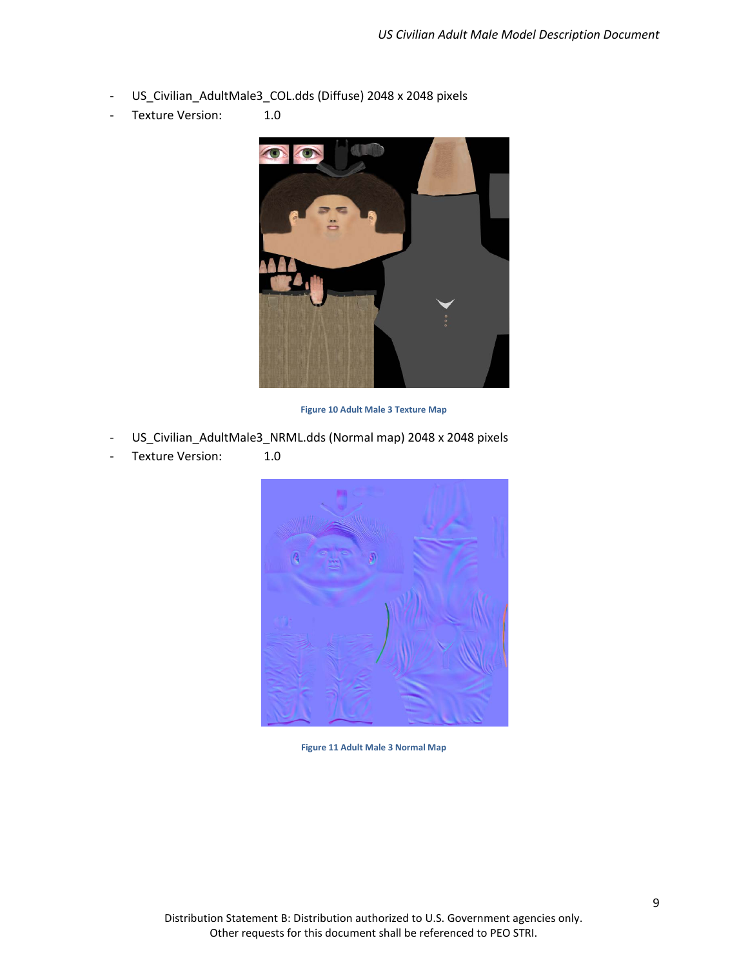- US\_Civilian\_AdultMale3\_COL.dds (Diffuse) 2048 x 2048 pixels
- Texture Version: 1.0



**Figure 10 Adult Male 3 Texture Map**

- <span id="page-12-0"></span>US\_Civilian\_AdultMale3\_NRML.dds (Normal map) 2048 x 2048 pixels
- <span id="page-12-1"></span>- Texture Version: 1.0



**Figure 11 Adult Male 3 Normal Map**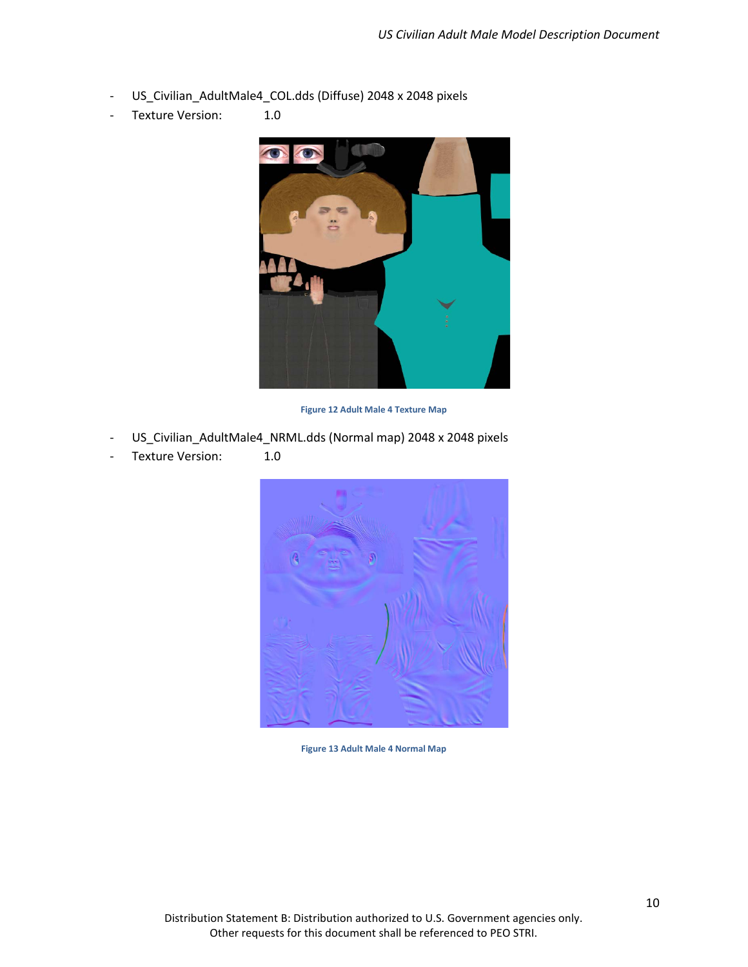- US\_Civilian\_AdultMale4\_COL.dds (Diffuse) 2048 x 2048 pixels
- Texture Version: 1.0



**Figure 12 Adult Male 4 Texture Map**

- <span id="page-13-0"></span>US\_Civilian\_AdultMale4\_NRML.dds (Normal map) 2048 x 2048 pixels
- <span id="page-13-1"></span>- Texture Version: 1.0



**Figure 13 Adult Male 4 Normal Map**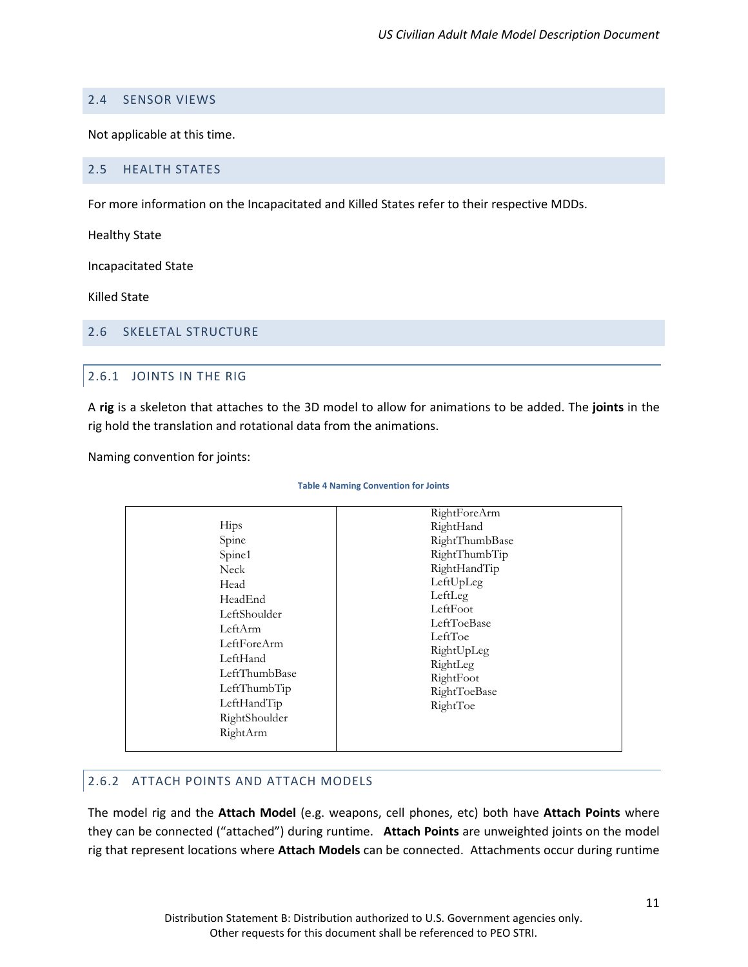## <span id="page-14-0"></span>2.4 SENSOR VIEWS

Not applicable at this time.

#### <span id="page-14-1"></span>2.5 HEALTH STATES

For more information on the Incapacitated and Killed States refer to their respective MDDs.

Healthy State

Incapacitated State

Killed State

#### <span id="page-14-3"></span><span id="page-14-2"></span>2.6 SKELETAL STRUCTURE

## 2.6.1 JOINTS IN THE RIG

A **rig** is a skeleton that attaches to the 3D model to allow for animations to be added. The **joints** in the rig hold the translation and rotational data from the animations.

<span id="page-14-5"></span>Naming convention for joints:

#### **Table 4 Naming Convention for Joints**

|                                                                                                                                  | RightForeArm                                                                                                                                         |
|----------------------------------------------------------------------------------------------------------------------------------|------------------------------------------------------------------------------------------------------------------------------------------------------|
| <b>Hips</b><br>Spine<br>Spine1<br>Neck<br>Head<br>HeadEnd<br>LeftShoulder<br>LeftArm<br>LeftForeArm<br>LeftHand<br>LeftThumbBase | RightHand<br>RightThumbBase<br>RightThumbTip<br>RightHandTip<br>LeftUpLeg<br>LeftLeg<br>LeftFoot<br>LeftToeBase<br>LeftToe<br>RightUpLeg<br>RightLeg |
| LeftThumbTip<br>LeftHandTip<br>RightShoulder<br>RightArm                                                                         | RightFoot<br>RightToeBase<br>RightToe                                                                                                                |

## <span id="page-14-4"></span>2.6.2 ATTACH POINTS AND ATTACH MODELS

The model rig and the **Attach Model** (e.g. weapons, cell phones, etc) both have **Attach Points** where they can be connected ("attached") during runtime. **Attach Points** are unweighted joints on the model rig that represent locations where **Attach Models** can be connected. Attachments occur during runtime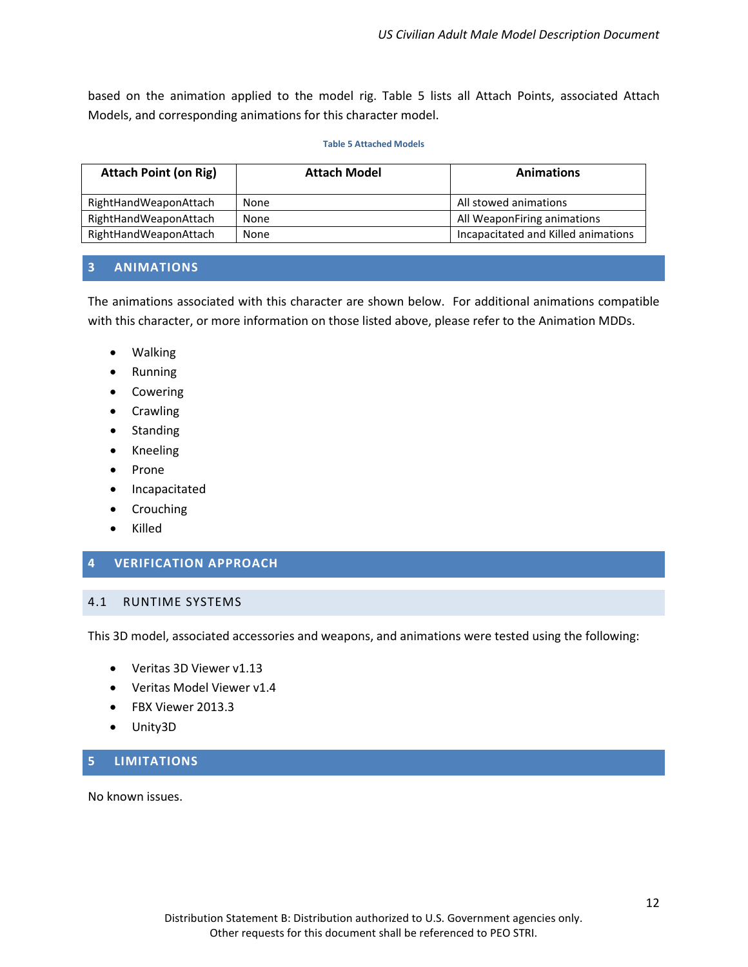based on the animation applied to the model rig. Table 5 lists all Attach Points, associated Attach Models, and corresponding animations for this character model.

#### **Table 5 Attached Models**

<span id="page-15-4"></span>

| <b>Attach Point (on Rig)</b> | <b>Attach Model</b> | <b>Animations</b>                   |
|------------------------------|---------------------|-------------------------------------|
| RightHandWeaponAttach        | None                | All stowed animations               |
| RightHandWeaponAttach        | None                | All WeaponFiring animations         |
| RightHandWeaponAttach        | None                | Incapacitated and Killed animations |

#### <span id="page-15-0"></span>**3 ANIMATIONS**

The animations associated with this character are shown below. For additional animations compatible with this character, or more information on those listed above, please refer to the Animation MDDs.

- Walking
- Running
- Cowering
- Crawling
- Standing
- Kneeling
- Prone
- Incapacitated
- Crouching
- Killed

#### <span id="page-15-1"></span>**4 VERIFICATION APPROACH**

#### <span id="page-15-2"></span>4.1 RUNTIME SYSTEMS

This 3D model, associated accessories and weapons, and animations were tested using the following:

- Veritas 3D Viewer v1.13
- Veritas Model Viewer v1.4
- FBX Viewer 2013.3
- Unity3D

## <span id="page-15-3"></span>**5 LIMITATIONS**

No known issues.